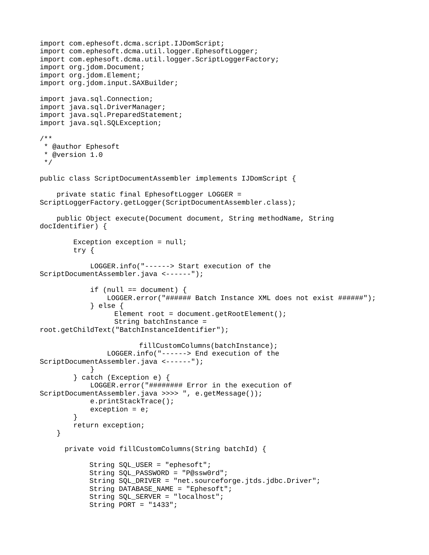```
import com.ephesoft.dcma.script.IJDomScript;
import com.ephesoft.dcma.util.logger.EphesoftLogger;
import com.ephesoft.dcma.util.logger.ScriptLoggerFactory;
import org.jdom.Document;
import org.jdom.Element;
import org.jdom.input.SAXBuilder;
import java.sql.Connection;
import java.sql.DriverManager;
import java.sql.PreparedStatement;
import java.sql.SQLException;
/**
  * @author Ephesoft
  * @version 1.0
  */
public class ScriptDocumentAssembler implements IJDomScript {
     private static final EphesoftLogger LOGGER = 
ScriptLoggerFactory.getLogger(ScriptDocumentAssembler.class);
     public Object execute(Document document, String methodName, String 
docIdentifier) {
         Exception exception = null;
         try {
             LOGGER.info("------> Start execution of the 
ScriptDocumentAssembler.java <------");
            if (null == document) {
                LOGGER.error("###### Batch Instance XML does not exist ######");
             } else {
                  Element root = document.getRootElement();
                   String batchInstance = 
root.getChildText("BatchInstanceIdentifier");
                        fillCustomColumns(batchInstance);
                 LOGGER.info("------> End execution of the 
ScriptDocumentAssembler.java <------");
 }
         } catch (Exception e) {
            LOGGER.error("######### Error in the execution of
ScriptDocumentAssembler.java >>>> ", e.getMessage());
             e.printStackTrace();
            exception = e; }
         return exception;
     }
      private void fillCustomColumns(String batchId) {
            String SQL_USER = "ephesoft";
            String SQL_PASSWORD = "P@ssw0rd";
            String SQL_DRIVER = "net.sourceforge.jtds.jdbc.Driver";
            String DATABASE_NAME = "Ephesoft";
            String SQL_SERVER = "localhost";
            String PORT = "1433";
```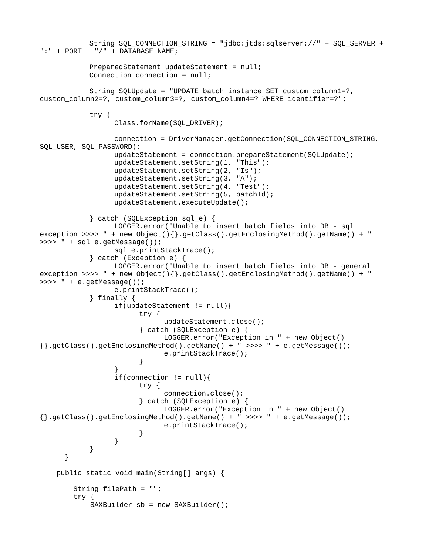```
String SQL_CONNECTION_STRING = "jdbc:jtds:sqlserver://" + SQL_SERVER + 
":" + PORT + "/" + DATABASE_NAME;
            PreparedStatement updateStatement = null;
            Connection connection = null;
            String SQLUpdate = "UPDATE batch_instance SET custom_column1=?, 
custom_column2=?, custom_column3=?, custom_column4=? WHERE identifier=?";
            try {
                  Class.forName(SQL_DRIVER);
                  connection = DriverManager.getConnection(SQL_CONNECTION_STRING, 
SQL_USER, SQL_PASSWORD);
                  updateStatement = connection.prepareStatement(SQLUpdate);
                  updateStatement.setString(1, "This");
                  updateStatement.setString(2, "Is");
                  updateStatement.setString(3, "A");
                  updateStatement.setString(4, "Test");
                  updateStatement.setString(5, batchId);
                  updateStatement.executeUpdate();
            } catch (SQLException sql_e) {
                  LOGGER.error("Unable to insert batch fields into DB - sql 
exception >>>> " + new Object(){}.getClass().getEnclosingMethod().getName() + " 
>>>> " + sql_e.getMessage());
                  sql_e.printStackTrace();
            } catch (Exception e) {
                  LOGGER.error("Unable to insert batch fields into DB - general 
exception >>>> " + new Object(){}.getClass().getEnclosingMethod().getName() + " 
>>>> " + e.getMessage());
                  e.printStackTrace();
            } finally {
                  if(updateStatement != null)try {
                              updateStatement.close();
                        } catch (SQLException e) {
                              LOGGER.error("Exception in " + new Object()
{\mathcal{L}}.getClass().getEnclosingMethod().getName() + " >>>> " + e.getMessage());
                              e.printStackTrace();
                        }
                  }
                  if(connection != null)try {
                              connection.close();
                        } catch (SQLException e) {
                              LOGGER.error("Exception in " + new Object()
\{\}.getClass().getEnclosingMethod().getName() + " >>>> " + e.getMessage());
                              e.printStackTrace();
                        }
                  }
           }
      }
     public static void main(String[] args) {
         String filePath = "";
         try {
             SAXBuilder sb = new SAXBuilder();
```